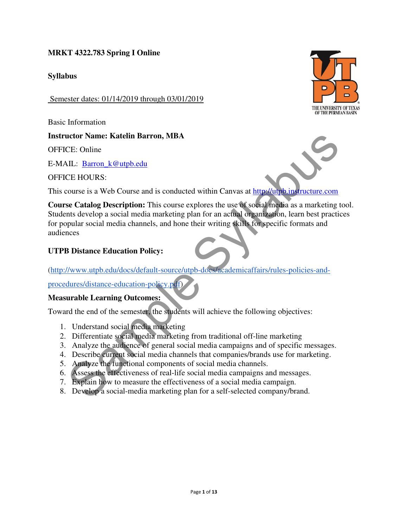## **MRKT 4322.783 Spring I Online**

### **Syllabus**

Semester dates: 01/14/2019 through 03/01/2019

Basic Information

### **Instructor Name: Katelin Barron, MBA**

OFFICE: Online

E-MAIL: Barron\_k@utpb.edu

OFFICE HOURS:

This course is a Web Course and is conducted within Canvas at http://utpb.instructure.com

**Course Catalog Description:** This course explores the use of social media as a marketing tool. Students develop a social media marketing plan for an actual organization, learn best practices for popular social media channels, and hone their writing skills for specific formats and audiences che Name: Katelin Barron, MBA<br>
CE: Online<br>
CE: Online<br>
CE: Online<br>
CE: HOURS:<br>
CE HOURS:<br>
CE HOURS:<br>
CE HOURS:<br>
CE HOURS:<br>
CE HOURS:<br>
CE HOURS:<br>
CE HOURS:<br>
CE HOURS:<br>
CE HOURS:<br>
CE Cataly Description: This course apples an

### **UTPB Distance Education Policy:**

(http://www.utpb.edu/docs/default-source/utpb-docs/academicaffairs/rules-policies-and-

procedures/distance-education-policy.pdf)

#### **Measurable Learning Outcomes:**

Toward the end of the semester, the students will achieve the following objectives:

- 1. Understand social media marketing
- 2. Differentiate social media marketing from traditional off-line marketing
- 3. Analyze the audience of general social media campaigns and of specific messages.
- 4. Describe current social media channels that companies/brands use for marketing.
- 5. Analyze the functional components of social media channels.
- 6. Assess the effectiveness of real-life social media campaigns and messages.
- 7. Explain how to measure the effectiveness of a social media campaign.
- 8. Develop a social-media marketing plan for a self-selected company/brand.

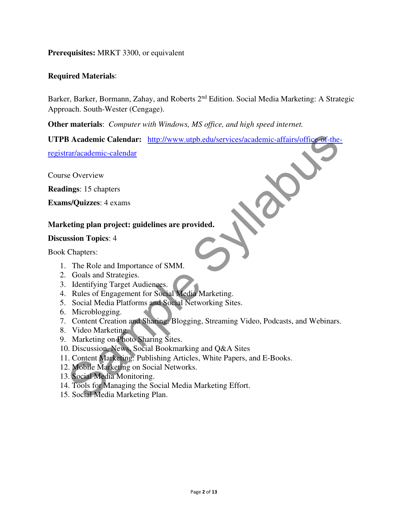**Prerequisites:** MRKT 3300, or equivalent

#### **Required Materials**:

Barker, Barker, Bormann, Zahay, and Roberts 2<sup>nd</sup> Edition. Social Media Marketing: A Strategic Approach. South-Wester (Cengage).

**Other materials**: *Computer with Windows, MS office, and high speed internet.* 

**UTPB Academic Calendar:** http://www.utpb.edu/services/academic-affairs/office-of-the-B Academic-calendar: http://www.utpb.edu/services/academic-affairs/office of-the<br>rar/academic-calendar<br>is (Overview<br>styludizes: 4 exams<br>stating plan project: guidelines are provided.<br>Cools and Strategies.<br>Cools and Strateg

registrar/academic-calendar

Course Overview

**Readings**: 15 chapters

**Exams/Quizzes**: 4 exams

### **Marketing plan project: guidelines are provided.**

#### **Discussion Topics**: 4

Book Chapters:

- 1. The Role and Importance of SMM.
- 2. Goals and Strategies.
- 3. Identifying Target Audiences.
- 4. Rules of Engagement for Social Media Marketing.
- 5. Social Media Platforms and Social Networking Sites.
- 6. Microblogging.
- 7. Content Creation and Sharing: Blogging, Streaming Video, Podcasts, and Webinars.
- 8. Video Marketing.
- 9. Marketing on Photo Sharing Sites.
- 10. Discussion, News, Social Bookmarking and Q&A Sites
- 11. Content Marketing: Publishing Articles, White Papers, and E-Books.
- 12. Mobile Marketing on Social Networks.
- 13. Social Media Monitoring.
- 14. Tools for Managing the Social Media Marketing Effort.
- 15. Social Media Marketing Plan.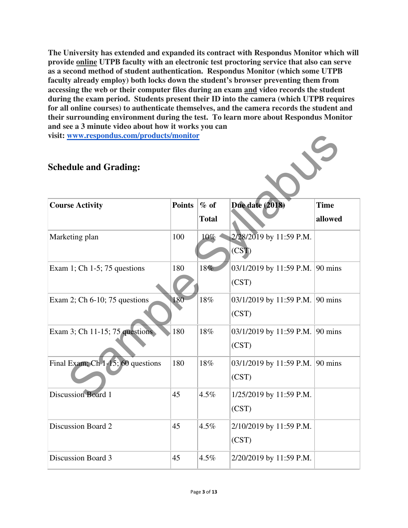**The University has extended and expanded its contract with Respondus Monitor which will provide online UTPB faculty with an electronic test proctoring service that also can serve as a second method of student authentication. Respondus Monitor (which some UTPB faculty already employ) both locks down the student's browser preventing them from accessing the web or their computer files during an exam and video records the student during the exam period. Students present their ID into the camera (which UTPB requires for all online courses) to authenticate themselves, and the camera records the student and their surrounding environment during the test. To learn more about Respondus Monitor and see a 3 minute video about how it works you can visit: www.respondus.com/products/monitor** 

## **Schedule and Grading:**

| visit: www.respondus.com/products/monitor |               |              |                                 |             |
|-------------------------------------------|---------------|--------------|---------------------------------|-------------|
| <b>Schedule and Grading:</b>              |               |              |                                 |             |
| <b>Course Activity</b>                    | <b>Points</b> | $%$ of       | Due date (2018)                 | <b>Time</b> |
|                                           |               | <b>Total</b> |                                 | allowed     |
| Marketing plan                            | 100           | 10%          | 2/28/2019 by 11:59 P.M.         |             |
|                                           |               |              | (CST)                           |             |
| Exam 1; Ch 1-5; 75 questions              | 180           | 18%          | 03/1/2019 by 11:59 P.M. 90 mins |             |
|                                           |               |              | (CST)                           |             |
| Exam 2; Ch $6-10$ ; 75 questions          | 180           | 18%          | 03/1/2019 by 11:59 P.M. 90 mins |             |
|                                           |               |              | (CST)                           |             |
| Exam 3; Ch 11-15; 75 questions            | 180           | 18%          | 03/1/2019 by 11:59 P.M. 90 mins |             |
|                                           |               |              | (CST)                           |             |
| Final Exam, $Ch$ 1-15; 60 questions       | 180           | 18%          | 03/1/2019 by 11:59 P.M. 90 mins |             |
|                                           |               |              | (CST)                           |             |
| <b>Discussion Board 1</b>                 | 45            | 4.5%         | 1/25/2019 by 11:59 P.M.         |             |
|                                           |               |              | (CST)                           |             |
| Discussion Board 2                        | 45            | 4.5%         | 2/10/2019 by 11:59 P.M.         |             |
|                                           |               |              | (CST)                           |             |
| Discussion Board 3                        | 45            | 4.5%         | 2/20/2019 by 11:59 P.M.         |             |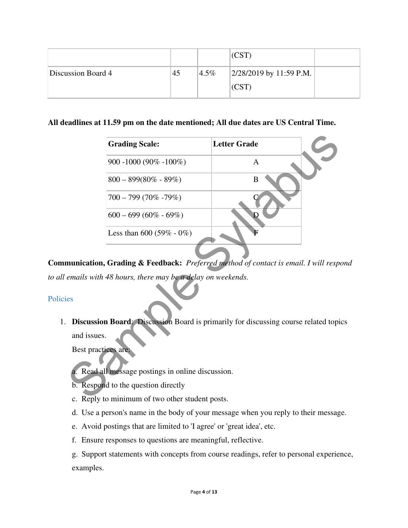|                    |    |         | CST                     |  |
|--------------------|----|---------|-------------------------|--|
| Discussion Board 4 | 45 | $4.5\%$ | 2/28/2019 by 11:59 P.M. |  |
|                    |    |         | (CST                    |  |

### **All deadlines at 11.59 pm on the date mentioned; All due dates are US Central Time.**

|             | <b>Grading Scale:</b>                                                                   | <b>Letter Grade</b> |  |
|-------------|-----------------------------------------------------------------------------------------|---------------------|--|
|             | $900 - 1000 (90\% - 100\%)$                                                             | A                   |  |
|             | $800 - 899(80\% - 89\%)$                                                                | B                   |  |
|             | $700 - 799(70\% - 79\%)$                                                                |                     |  |
|             | $600 - 699(60\% - 69\%)$                                                                |                     |  |
|             | Less than $600 (59\% - 0\%)$                                                            |                     |  |
|             | munication, Grading & Feedback: Preferred method of contact is email. I will respendent |                     |  |
|             | emails with 48 hours, there may be a delay on weekends.                                 |                     |  |
| es          |                                                                                         |                     |  |
|             | Discussion Board: Discussion Board is primarily for discussing course related topi      |                     |  |
| and issues. |                                                                                         |                     |  |
|             | Best practices are:                                                                     |                     |  |
|             | a. Read all message postings in online discussion.                                      |                     |  |
|             | b. Respond to the question directly                                                     |                     |  |
|             | c. Reply to minimum of two other student posts                                          |                     |  |

**Communication, Grading & Feedback:** *Preferred method of contact is email. I will respond to all emails with 48 hours, there may be a delay on weekends.* 

## Policies

1. **Discussion Board**: Discussion Board is primarily for discussing course related topics and issues.

- a. Read all message postings in online discussion.
- b. Respond to the question directly
- c. Reply to minimum of two other student posts.
- d. Use a person's name in the body of your message when you reply to their message.
- e. Avoid postings that are limited to 'I agree' or 'great idea', etc.
- f. Ensure responses to questions are meaningful, reflective.

g. Support statements with concepts from course readings, refer to personal experience, examples.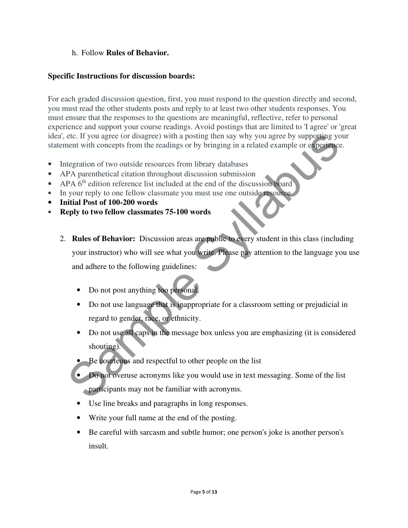### h. Follow **Rules of Behavior.**

#### **Specific Instructions for discussion boards:**

For each graded discussion question, first, you must respond to the question directly and second, you must read the other students posts and reply to at least two other students responses. You must ensure that the responses to the questions are meaningful, reflective, refer to personal experience and support your course readings. Avoid postings that are limited to 'I agree' or 'great idea', etc. If you agree (or disagree) with a posting then say why you agree by supporting your statement with concepts from the readings or by bringing in a related example or experience.

- Integration of two outside resources from library databases
- APA parenthetical citation throughout discussion submission
- APA 6<sup>th</sup> edition reference list included at the end of the discussion board
- In your reply to one fellow classmate you must use one outside resource
- **Initial Post of 100-200 words**
- **Reply to two fellow classmates 75-100 words**
- 2. **Rules of Behavior:** Discussion areas are public to every student in this class (including your instructor) who will see what you write. Please pay attention to the language you use and adhere to the following guidelines: The state of the matter of the matter of the matter of the state of the state of the control of the control of the control of the control of the control of the distinguisties and the parameterization of two outside resour
	- Do not post anything too personal.
	- Do not use language that is inappropriate for a classroom setting or prejudicial in regard to gender, race, or ethnicity.
	- Do not use all caps in the message box unless you are emphasizing (it is considered shouting).
	- Be courteous and respectful to other people on the list
	- Do not overuse acronyms like you would use in text messaging. Some of the list participants may not be familiar with acronyms.
	- Use line breaks and paragraphs in long responses.
	- Write your full name at the end of the posting.
	- Be careful with sarcasm and subtle humor; one person's joke is another person's insult.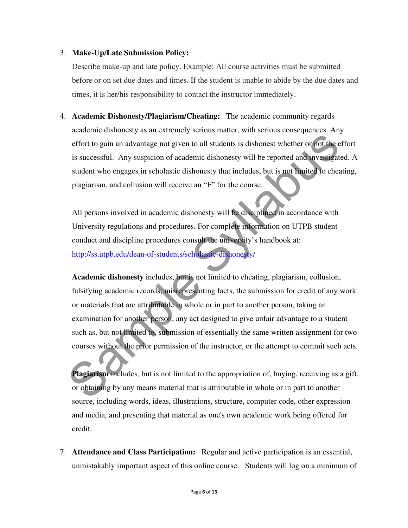#### 3. **Make-Up/Late Submission Policy:**

Describe make-up and late policy. Example: All course activities must be submitted before or on set due dates and times. If the student is unable to abide by the due dates and times, it is her/his responsibility to contact the instructor immediately.

4. **Academic Dishonesty/Plagiarism/Cheating:** The academic community regards academic dishonesty as an extremely serious matter, with serious consequences. Any effort to gain an advantage not given to all students is dishonest whether or not the effort is successful. Any suspicion of academic dishonesty will be reported and investigated. A student who engages in scholastic dishonesty that includes, but is not limited to cheating, plagiarism, and collusion will receive an "F" for the course.

All persons involved in academic dishonesty will be disciplined in accordance with University regulations and procedures. For complete information on UTPB student conduct and discipline procedures consult the university's handbook at: http://ss.utpb.edu/dean-of-students/scholastic-dishonesty/

**Academic dishonesty** includes, but is not limited to cheating, plagiarism, collusion, falsifying academic records, misrepresenting facts, the submission for credit of any work or materials that are attributable in whole or in part to another person, taking an examination for another person, any act designed to give unfair advantage to a student such as, but not limited to, submission of essentially the same written assignment for two courses without the prior permission of the instructor, or the attempt to commit such acts. effort to gain an advantage not given to all students is dishonest whether or not the is successful. Any suspicion of academic dishonesty will be reported and investigat<br>student who engages in scholastic dishonesty will be

**Plagiarism** includes, but is not limited to the appropriation of, buying, receiving as a gift, or obtaining by any means material that is attributable in whole or in part to another source, including words, ideas, illustrations, structure, computer code, other expression and media, and presenting that material as one's own academic work being offered for credit.

7. **Attendance and Class Participation:** Regular and active participation is an essential, unmistakably important aspect of this online course. Students will log on a minimum of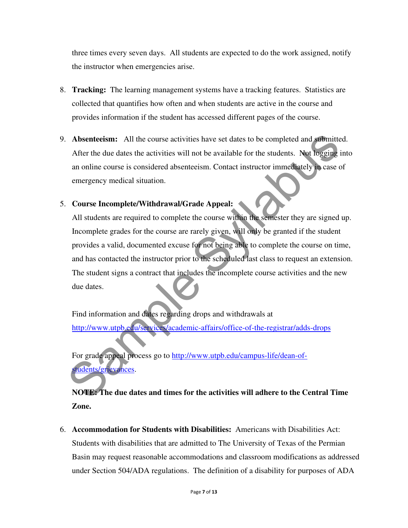three times every seven days. All students are expected to do the work assigned, notify the instructor when emergencies arise.

- 8. **Tracking:** The learning management systems have a tracking features. Statistics are collected that quantifies how often and when students are active in the course and provides information if the student has accessed different pages of the course.
- 9. **Absenteeism:** All the course activities have set dates to be completed and submitted. After the due dates the activities will not be available for the students. Not logging into an online course is considered absenteeism. Contact instructor immediately in case of emergency medical situation.

### 5. **Course Incomplete/Withdrawal/Grade Appeal:**

All students are required to complete the course within the semester they are signed up. Incomplete grades for the course are rarely given, will only be granted if the student provides a valid, documented excuse for not being able to complete the course on time, and has contacted the instructor prior to the scheduled last class to request an extension. The student signs a contract that includes the incomplete course activities and the new due dates. Absentecism: All the course activities have set dates to be completed and submitted After the due dates the activities will not be available for the students. Not logging<br>an online course is considered absentecism. Contact

Find information and dates regarding drops and withdrawals at http://www.utpb.edu/services/academic-affairs/office-of-the-registrar/adds-drops

For grade appeal process go to http://www.utpb.edu/campus-life/dean-ofstudents/grievances.

**NOTE: The due dates and times for the activities will adhere to the Central Time Zone.** 

6. **Accommodation for Students with Disabilities:** Americans with Disabilities Act: Students with disabilities that are admitted to The University of Texas of the Permian Basin may request reasonable accommodations and classroom modifications as addressed under Section 504/ADA regulations. The definition of a disability for purposes of ADA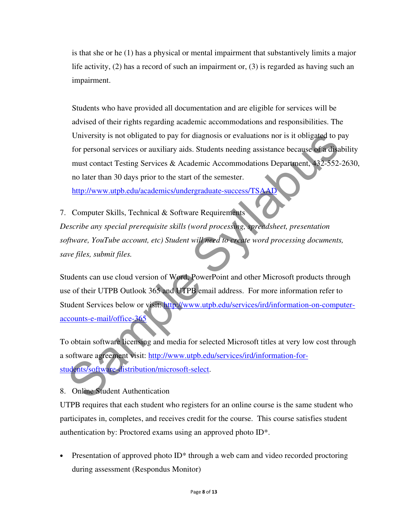is that she or he (1) has a physical or mental impairment that substantively limits a major life activity, (2) has a record of such an impairment or, (3) is regarded as having such an impairment.

Students who have provided all documentation and are eligible for services will be advised of their rights regarding academic accommodations and responsibilities. The University is not obligated to pay for diagnosis or evaluations nor is it obligated to pay for personal services or auxiliary aids. Students needing assistance because of a disability must contact Testing Services & Academic Accommodations Department, 432-552-2630, no later than 30 days prior to the start of the semester.

http://www.utpb.edu/academics/undergraduate-success/TSAAD

7. Computer Skills, Technical & Software Requirements *Describe any special prerequisite skills (word processing, spreadsheet, presentation software, YouTube account, etc) Student will need to create word processing documents, save files, submit files.* 

Students can use cloud version of Word, PowerPoint and other Microsoft products through use of their UTPB Outlook 365 and UTPB email address. For more information refer to Student Services below or visit: http://www.utpb.edu/services/ird/information-on-computeraccounts-e-mail/office-365 University is not obligated to pay for diagnosis or evaluations nor is it obligated to p<br>for personal services or auxiliary aids. Students needing assistance because of a diagnost<br>must contact Testing Services & Academic A

To obtain software licensing and media for selected Microsoft titles at very low cost through a software agreement visit: http://www.utpb.edu/services/ird/information-forstudents/software-distribution/microsoft-select.

8. Online Student Authentication

UTPB requires that each student who registers for an online course is the same student who participates in, completes, and receives credit for the course. This course satisfies student authentication by: Proctored exams using an approved photo ID\*.

Presentation of approved photo  $ID^*$  through a web cam and video recorded proctoring during assessment (Respondus Monitor)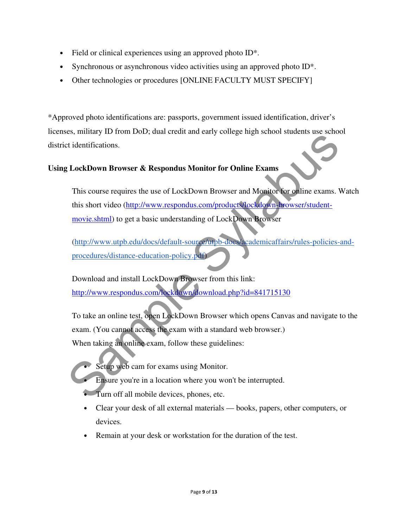- Field or clinical experiences using an approved photo ID<sup>\*</sup>.
- Synchronous or asynchronous video activities using an approved photo ID<sup>\*</sup>.
- Other technologies or procedures [ONLINE FACULTY MUST SPECIFY]

\*Approved photo identifications are: passports, government issued identification, driver's licenses, military ID from DoD; dual credit and early college high school students use school district identifications.

### **Using LockDown Browser & Respondus Monitor for Online Exams**

This course requires the use of LockDown Browser and Monitor for online exams. Watch this short video (http://www.respondus.com/products/lockdown-browser/studentmovie.shtml) to get a basic understanding of LockDown Browser Sammary Liven Dock, but created and early comes in a start of identifications.<br>
This course requires the use of LockDown Browser and Monitor Corolline exams.<br>
This course requires the use of LockDown Browser and Monitor Co

(http://www.utpb.edu/docs/default-source/utpb-docs/academicaffairs/rules-policies-andprocedures/distance-education-policy.pdf)

Download and install LockDown Browser from this link: http://www.respondus.com/lockdown/download.php?id=841715130

To take an online test, open LockDown Browser which opens Canvas and navigate to the exam. (You cannot access the exam with a standard web browser.) When taking an online exam, follow these guidelines:

- Setup web cam for exams using Monitor.
- Ensure you're in a location where you won't be interrupted.
- Turn off all mobile devices, phones, etc.
- Clear your desk of all external materials books, papers, other computers, or devices.
- Remain at your desk or workstation for the duration of the test.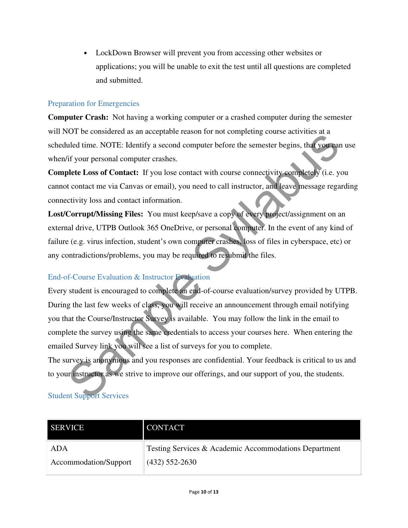• LockDown Browser will prevent you from accessing other websites or applications; you will be unable to exit the test until all questions are completed and submitted.

#### Preparation for Emergencies

**Computer Crash:** Not having a working computer or a crashed computer during the semester will NOT be considered as an acceptable reason for not completing course activities at a scheduled time. NOTE: Identify a second computer before the semester begins, that you can use when/if your personal computer crashes.

**Complete Loss of Contact:** If you lose contact with course connectivity completely (i.e. you cannot contact me via Canvas or email), you need to call instructor, and leave message regarding connectivity loss and contact information.

**Lost/Corrupt/Missing Files:** You must keep/save a copy of every project/assignment on an external drive, UTPB Outlook 365 OneDrive, or personal computer. In the event of any kind of failure (e.g. virus infection, student's own computer crashes, loss of files in cyberspace, etc) or any contradictions/problems, you may be required to resubmit the files.

### End-of-Course Evaluation & Instructor Evaluation

Every student is encouraged to complete an end-of-course evaluation/survey provided by UTPB. During the last few weeks of class, you will receive an announcement through email notifying you that the Course/Instructor Survey is available. You may follow the link in the email to complete the survey using the same credentials to access your courses here. When entering the emailed Survey link you will see a list of surveys for you to complete. or the counsele and uncertainty as second computer before the semester begins, that you can<br>did time. NOTE: Identify a second computer before the semester begins, that you can<br>dif your personal computer crashes.<br>The potent

The survey is anonymous and you responses are confidential. Your feedback is critical to us and to your instructor as we strive to improve our offerings, and our support of you, the students.

# Student Support Services

| <b>SERVICE</b>        | <b>CONTACT</b>                                        |
|-----------------------|-------------------------------------------------------|
| ADA                   | Testing Services & Academic Accommodations Department |
| Accommodation/Support | $(432)$ 552-2630                                      |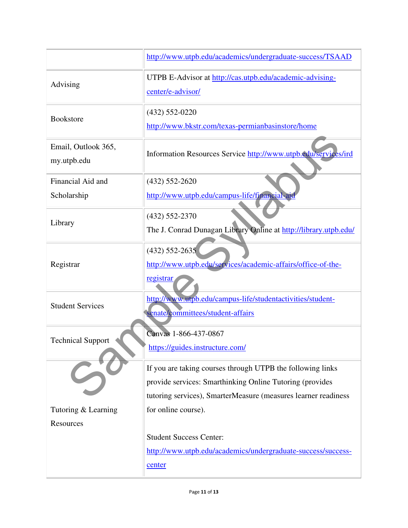|                                    | http://www.utpb.edu/academics/undergraduate-success/TSAAD                                                                                                                                |
|------------------------------------|------------------------------------------------------------------------------------------------------------------------------------------------------------------------------------------|
| Advising                           | UTPB E-Advisor at http://cas.utpb.edu/academic-advising-<br>center/e-advisor/                                                                                                            |
| <b>Bookstore</b>                   | $(432) 552 - 0220$<br>http://www.bkstr.com/texas-permianbasinstore/home                                                                                                                  |
| Email, Outlook 365,<br>my.utpb.edu | Information Resources Service http://www.utpb.edu/services/ird                                                                                                                           |
| Financial Aid and                  | $(432) 552 - 2620$                                                                                                                                                                       |
| Scholarship                        | http://www.utpb.edu/campus-life/financial-aid                                                                                                                                            |
|                                    | $(432) 552 - 2370$                                                                                                                                                                       |
| Library                            | The J. Conrad Dunagan Library Online at http://library.utpb.edu/                                                                                                                         |
| Registrar                          | $(432)$ 552-2635<br>http://www.utpb.edu/services/academic-affairs/office-of-the-<br>registrar                                                                                            |
| <b>Student Services</b>            | http://www.utpb.edu/campus-life/studentactivities/student-<br>senate/committees/student-affairs                                                                                          |
| <b>Technical Support</b>           | Canvas 1-866-437-0867<br>https://guides.instructure.com/                                                                                                                                 |
|                                    | If you are taking courses through UTPB the following links<br>provide services: Smarthinking Online Tutoring (provides<br>tutoring services), SmarterMeasure (measures learner readiness |
| Tutoring & Learning                | for online course).                                                                                                                                                                      |
| Resources                          |                                                                                                                                                                                          |
|                                    | <b>Student Success Center:</b>                                                                                                                                                           |
|                                    | http://www.utpb.edu/academics/undergraduate-success/success-                                                                                                                             |
|                                    | center                                                                                                                                                                                   |
|                                    |                                                                                                                                                                                          |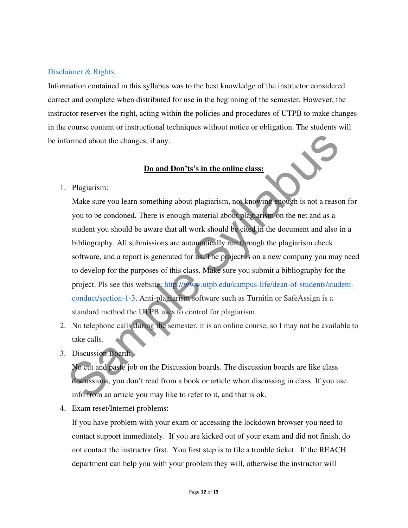## Disclaimer & Rights

Information contained in this syllabus was to the best knowledge of the instructor considered correct and complete when distributed for use in the beginning of the semester. However, the instructor reserves the right, acting within the policies and procedures of UTPB to make changes in the course content or instructional techniques without notice or obligation. The students will be informed about the changes, if any.

#### **Do and Don'ts's in the online class:**

1. Plagiarism:

Make sure you learn something about plagiarism, not knowing enough is not a reason for you to be condoned. There is enough material about plagiarism on the net and as a student you should be aware that all work should be cited in the document and also in a bibliography. All submissions are automatically run through the plagiarism check software, and a report is generated for us. The project is on a new company you may need to develop for the purposes of this class. Make sure you submit a bibliography for the project. Pls see this website: http://www.utpb.edu/campus-life/dean-of-students/studentconduct/section-1-3. Anti-plagiarism software such as Turnitin or SafeAssign is a standard method the UTPB uses to control for plagiarism. Franch about the changes, if any.<br>
Do and Don'ts's in the online class:<br>
Plagiarism:<br>
Make sure you learn something about plagiarism, not knowing enough is not a reason<br>
to be condoned. There is enough material about plagi

- 2. No telephone calls during the semester, it is an online course, so I may not be available to take calls.
- 3. Discussion Board:

No cut and paste job on the Discussion boards. The discussion boards are like class discussions, you don't read from a book or article when discussing in class. If you use info from an article you may like to refer to it, and that is ok.

4. Exam reset/Internet problems:

If you have problem with your exam or accessing the lockdown browser you need to contact support immediately. If you are kicked out of your exam and did not finish, do not contact the instructor first. You first step is to file a trouble ticket. If the REACH department can help you with your problem they will, otherwise the instructor will